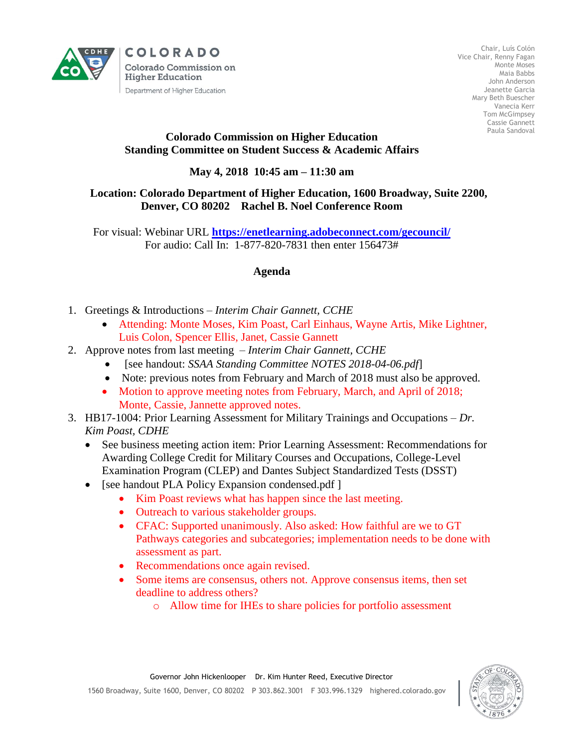

**COLORADO Colorado Commission on Higher Education** Department of Higher Education

Chair, Luís Colón Vice Chair, Renny Fagan Monte Moses Maia Babbs John Anderson Jeanette Garcia Mary Beth Buescher Vanecia Kerr Tom McGimpsey Cassie Gannett Paula Sandoval

# **Colorado Commission on Higher Education Standing Committee on Student Success & Academic Affairs**

## **May 4, 2018 10:45 am – 11:30 am**

### **Location: Colorado Department of Higher Education, 1600 Broadway, Suite 2200, Denver, CO 80202 Rachel B. Noel Conference Room**

For visual: Webinar URL **<https://enetlearning.adobeconnect.com/gecouncil/>** For audio: Call In: 1-877-820-7831 then enter 156473#

### **Agenda**

- 1. Greetings & Introductions *– Interim Chair Gannett, CCHE*
	- Attending: Monte Moses, Kim Poast, Carl Einhaus, Wayne Artis, Mike Lightner, Luis Colon, Spencer Ellis, Janet, Cassie Gannett
- 2. Approve notes from last meeting *Interim Chair Gannett, CCHE*
	- [see handout: *SSAA Standing Committee NOTES 2018-04-06.pdf*]
	- Note: previous notes from February and March of 2018 must also be approved.
	- Motion to approve meeting notes from February, March, and April of 2018; Monte, Cassie, Jannette approved notes.
- 3. HB17-1004: Prior Learning Assessment for Military Trainings and Occupations *Dr. Kim Poast, CDHE*
	- See business meeting action item: Prior Learning Assessment: Recommendations for Awarding College Credit for Military Courses and Occupations, College-Level Examination Program (CLEP) and Dantes Subject Standardized Tests (DSST)
	- [see handout PLA Policy Expansion condensed.pdf ]
		- Kim Poast reviews what has happen since the last meeting.
		- Outreach to various stakeholder groups.
		- CFAC: Supported unanimously. Also asked: How faithful are we to GT Pathways categories and subcategories; implementation needs to be done with assessment as part.
		- Recommendations once again revised.
		- Some items are consensus, others not. Approve consensus items, then set deadline to address others?
			- o Allow time for IHEs to share policies for portfolio assessment